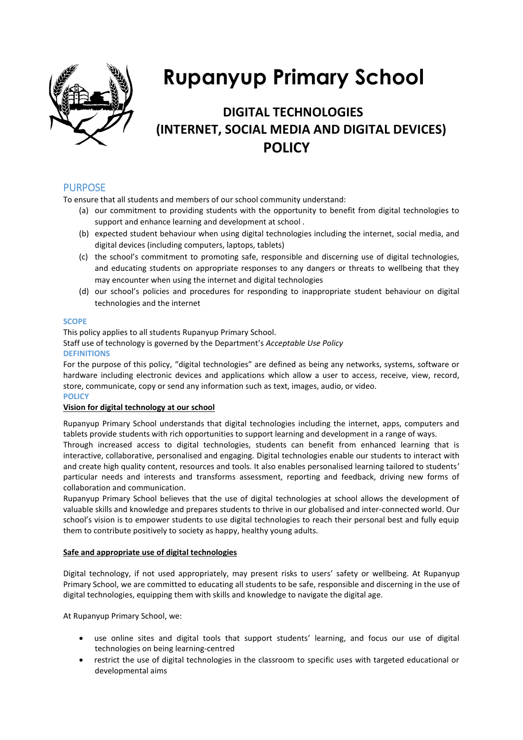

# **Rupanyup Primary School**

# **DIGITAL TECHNOLOGIES (INTERNET, SOCIAL MEDIA AND DIGITAL DEVICES) POLICY**

### PURPOSE

To ensure that all students and members of our school community understand:

- (a) our commitment to providing students with the opportunity to benefit from digital technologies to support and enhance learning and development at school .
- (b) expected student behaviour when using digital technologies including the internet, social media, and digital devices (including computers, laptops, tablets)
- (c) the school's commitment to promoting safe, responsible and discerning use of digital technologies, and educating students on appropriate responses to any dangers or threats to wellbeing that they may encounter when using the internet and digital technologies
- (d) our school's policies and procedures for responding to inappropriate student behaviour on digital technologies and the internet

#### **SCOPE**

This policy applies to all students Rupanyup Primary School. Staff use of technology is governed by the Department's *Acceptable Use Policy*  **DEFINITIONS** 

For the purpose of this policy, "digital technologies" are defined as being any networks, systems, software or hardware including electronic devices and applications which allow a user to access, receive, view, record, store, communicate, copy or send any information such as text, images, audio, or video. **POLICY** 

#### **Vision for digital technology at our school**

Rupanyup Primary School understands that digital technologies including the internet, apps, computers and tablets provide students with rich opportunities to support learning and development in a range of ways.

Through increased access to digital technologies, students can benefit from enhanced learning that is interactive, collaborative, personalised and engaging. Digital technologies enable our students to interact with and create high quality content, resources and tools. It also enables personalised learning tailored to students' particular needs and interests and transforms assessment, reporting and feedback, driving new forms of collaboration and communication.

Rupanyup Primary School believes that the use of digital technologies at school allows the development of valuable skills and knowledge and prepares students to thrive in our globalised and inter-connected world. Our school's vision is to empower students to use digital technologies to reach their personal best and fully equip them to contribute positively to society as happy, healthy young adults.

#### **Safe and appropriate use of digital technologies**

Digital technology, if not used appropriately, may present risks to users' safety or wellbeing. At Rupanyup Primary School, we are committed to educating all students to be safe, responsible and discerning in the use of digital technologies, equipping them with skills and knowledge to navigate the digital age.

At Rupanyup Primary School, we:

- use online sites and digital tools that support students' learning, and focus our use of digital technologies on being learning-centred
- restrict the use of digital technologies in the classroom to specific uses with targeted educational or developmental aims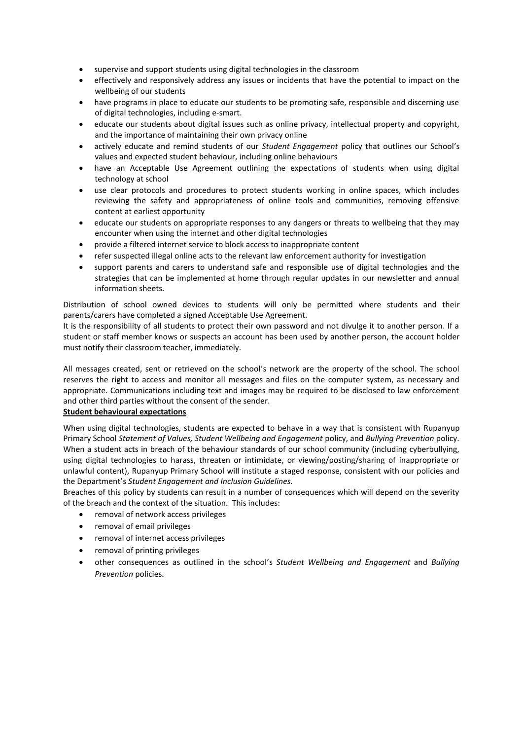- supervise and support students using digital technologies in the classroom
- effectively and responsively address any issues or incidents that have the potential to impact on the wellbeing of our students
- have programs in place to educate our students to be promoting safe, responsible and discerning use of digital technologies, including e-smart.
- educate our students about digital issues such as online privacy, intellectual property and copyright, and the importance of maintaining their own privacy online
- actively educate and remind students of our *Student Engagement* policy that outlines our School's values and expected student behaviour, including online behaviours
- have an Acceptable Use Agreement outlining the expectations of students when using digital technology at school
- use clear protocols and procedures to protect students working in online spaces, which includes reviewing the safety and appropriateness of online tools and communities, removing offensive content at earliest opportunity
- educate our students on appropriate responses to any dangers or threats to wellbeing that they may encounter when using the internet and other digital technologies
- provide a filtered internet service to block access to inappropriate content
- refer suspected illegal online acts to the relevant law enforcement authority for investigation
- support parents and carers to understand safe and responsible use of digital technologies and the strategies that can be implemented at home through regular updates in our newsletter and annual information sheets.

Distribution of school owned devices to students will only be permitted where students and their parents/carers have completed a signed Acceptable Use Agreement.

It is the responsibility of all students to protect their own password and not divulge it to another person. If a student or staff member knows or suspects an account has been used by another person, the account holder must notify their classroom teacher, immediately.

All messages created, sent or retrieved on the school's network are the property of the school. The school reserves the right to access and monitor all messages and files on the computer system, as necessary and appropriate. Communications including text and images may be required to be disclosed to law enforcement and other third parties without the consent of the sender.

#### **Student behavioural expectations**

When using digital technologies, students are expected to behave in a way that is consistent with Rupanyup Primary School *Statement of Values, Student Wellbeing and Engagement* policy, and *Bullying Prevention* policy. When a student acts in breach of the behaviour standards of our school community (including cyberbullying, using digital technologies to harass, threaten or intimidate, or viewing/posting/sharing of inappropriate or unlawful content), Rupanyup Primary School will institute a staged response, consistent with our policies and the Department's *Student Engagement and Inclusion Guidelines.*

Breaches of this policy by students can result in a number of consequences which will depend on the severity of the breach and the context of the situation. This includes:

- removal of network access privileges
- removal of email privileges
- removal of internet access privileges
- removal of printing privileges
- other consequences as outlined in the school's *Student Wellbeing and Engagement* and *Bullying Prevention* policies.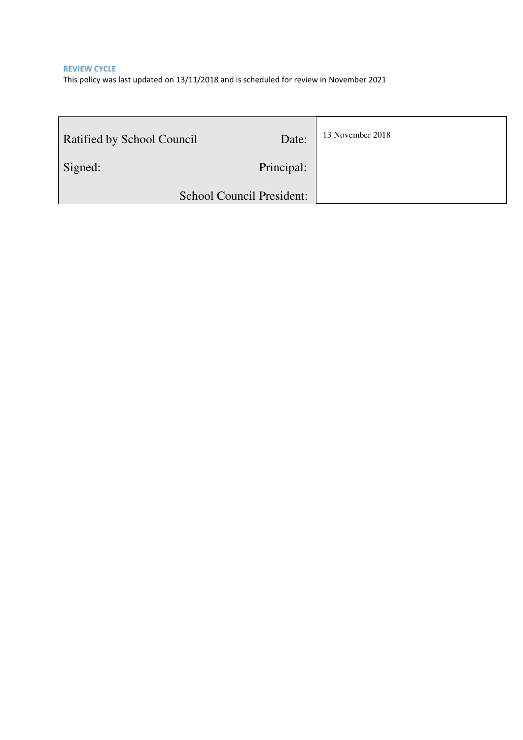**REVIEW CYCLE**  This policy was last updated on 13/11/2018 and is scheduled for review in November 2021

| Ratified by School Council | Date:      | 13 November 2018 |
|----------------------------|------------|------------------|
| Signed:                    | Principal: |                  |
| School Council President:  |            |                  |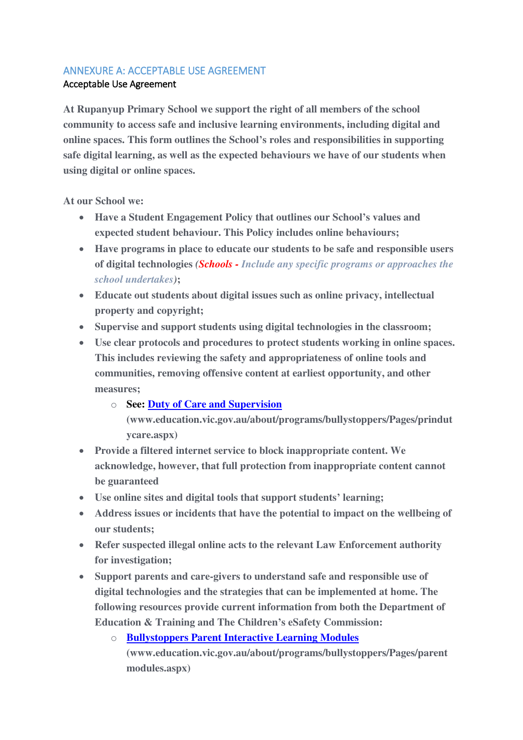### ANNEXURE A: ACCEPTABLE USE AGREEMENT

### Acceptable Use Agreement

**At Rupanyup Primary School we support the right of all members of the school community to access safe and inclusive learning environments, including digital and online spaces. This form outlines the School's roles and responsibilities in supporting safe digital learning, as well as the expected behaviours we have of our students when using digital or online spaces.** 

**At our School we:** 

- **Have a Student Engagement Policy that outlines our School's values and expected student behaviour. This Policy includes online behaviours;**
- **Have programs in place to educate our students to be safe and responsible users of digital technologies** *(Schools - Include any specific programs or approaches the school undertakes)***;**
- **Educate out students about digital issues such as online privacy, intellectual property and copyright;**
- **Supervise and support students using digital technologies in the classroom;**
- **Use clear protocols and procedures to protect students working in online spaces. This includes reviewing the safety and appropriateness of online tools and communities, removing offensive content at earliest opportunity, and other measures;** 
	- o **See: [Duty of Care and Supervision](http://www.education.vic.gov.au/about/programs/bullystoppers/Pages/prindutycare.aspx)**

**[\(www.education.vic.gov.au/about/programs/bullystoppers/Pages/prindut](http://www.education.vic.gov.au/about/programs/bullystoppers/Pages/prindutycare.aspx) [ycare.aspx\)](http://www.education.vic.gov.au/about/programs/bullystoppers/Pages/prindutycare.aspx)** 

- **Provide a filtered internet service to block inappropriate content. We acknowledge, however, that full protection from inappropriate content cannot be guaranteed**
- **Use online sites and digital tools that support students' learning;**
- **Address issues or incidents that have the potential to impact on the wellbeing of our students;**
- **Refer suspected illegal online acts to the relevant Law Enforcement authority for investigation;**
- **Support parents and care-givers to understand safe and responsible use of digital technologies and the strategies that can be implemented at home. The following resources provide current information from both the [Department of](http://www.education.vic.gov.au/about/programs/bullystoppers/Pages/parentmodules.aspx)  [Education & Training](http://www.education.vic.gov.au/about/programs/bullystoppers/Pages/parentmodules.aspx) and The Children's eSafety Commission:** 
	- o **[Bullystoppers Parent Interactive Learning Modules](http://www.education.vic.gov.au/about/programs/bullystoppers/Pages/parentmodules.aspx) [\(www.education.vic.gov.au/about/programs/bullystoppers/Pages/parent](http://www.education.vic.gov.au/about/programs/bullystoppers/Pages/parentmodules.aspx) [modules.aspx\)](http://www.education.vic.gov.au/about/programs/bullystoppers/Pages/parentmodules.aspx)**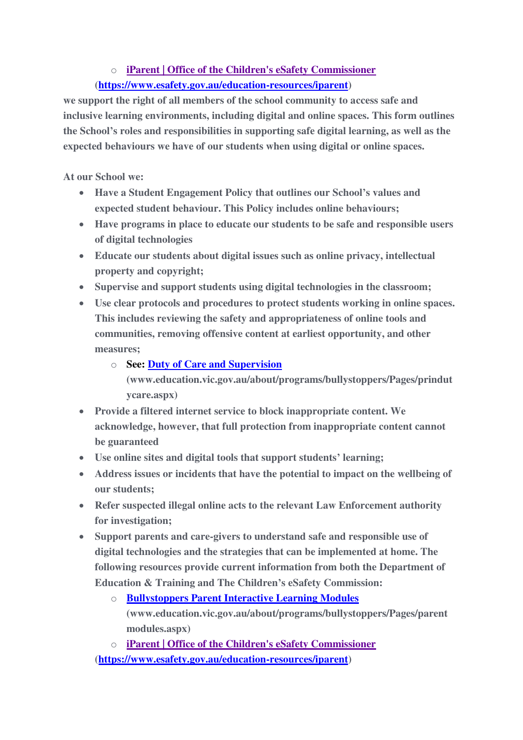## o **[iParent | Office of the Children's eSafety Commissioner](https://www.esafety.gov.au/education-resources/iparent)**

## **[\(https://www.esafety.gov.au/education-resources/iparent\)](https://www.esafety.gov.au/education-resources/iparent)**

**we support the right of all members of the school community to access safe and inclusive learning environments, including digital and online spaces. This form outlines the School's roles and responsibilities in supporting safe digital learning, as well as the expected behaviours we have of our students when using digital or online spaces.** 

**At our School we:** 

- **Have a Student Engagement Policy that outlines our School's values and expected student behaviour. This Policy includes online behaviours;**
- **Have programs in place to educate our students to be safe and responsible users of digital technologies**
- **Educate our students about digital issues such as online privacy, intellectual property and copyright;**
- **Supervise and support students using digital technologies in the classroom;**
- **Use clear protocols and procedures to protect students working in online spaces. This includes reviewing the safety and appropriateness of online tools and communities, removing offensive content at earliest opportunity, and other measures;** 
	- o **See: [Duty of Care and Supervision](http://www.education.vic.gov.au/about/programs/bullystoppers/Pages/prindutycare.aspx)** 
		- **[\(www.education.vic.gov.au/about/programs/bullystoppers/Pages/prindut](http://www.education.vic.gov.au/about/programs/bullystoppers/Pages/prindutycare.aspx) [ycare.aspx\)](http://www.education.vic.gov.au/about/programs/bullystoppers/Pages/prindutycare.aspx)**
- **Provide a filtered internet service to block inappropriate content. We acknowledge, however, that full protection from inappropriate content cannot be guaranteed**
- **Use online sites and digital tools that support students' learning;**
- **Address issues or incidents that have the potential to impact on the wellbeing of our students;**
- **Refer suspected illegal online acts to the relevant Law Enforcement authority for investigation;**
- **Support parents and care-givers to understand safe and responsible use of digital technologies and the strategies that can be implemented at home. The following resources provide current information from both the [Department of](http://www.education.vic.gov.au/about/programs/bullystoppers/Pages/parentmodules.aspx)  [Education & Training](http://www.education.vic.gov.au/about/programs/bullystoppers/Pages/parentmodules.aspx) and The Children's eSafety Commission:** 
	- o **[Bullystoppers Parent Interactive Learning Modules](http://www.education.vic.gov.au/about/programs/bullystoppers/Pages/parentmodules.aspx) [\(www.education.vic.gov.au/about/programs/bullystoppers/Pages/parent](http://www.education.vic.gov.au/about/programs/bullystoppers/Pages/parentmodules.aspx) [modules.aspx\)](http://www.education.vic.gov.au/about/programs/bullystoppers/Pages/parentmodules.aspx)**

o **[iParent | Office of the Children's eSafety Commissioner](https://www.esafety.gov.au/education-resources/iparent) [\(https://www.esafety.gov.au/education-resources/iparent\)](https://www.esafety.gov.au/education-resources/iparent)**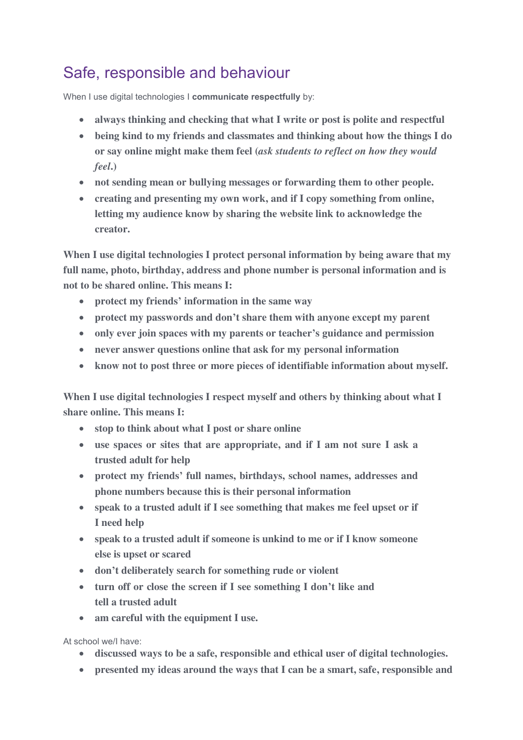# Safe, responsible and behaviour

When I use digital technologies I **communicate respectfully** by:

- **always thinking and checking that what I write or post is polite and respectful**
- **being kind to my friends and classmates and thinking about how the things I do or say online might make them feel (***ask students to reflect on how they would feel***.)**
- **not sending mean or bullying messages or forwarding them to other people.**
- **creating and presenting my own work, and if I copy something from online, letting my audience know by sharing the website link to acknowledge the creator.**

**When I use digital technologies I protect personal information by being aware that my full name, photo, birthday, address and phone number is personal information and is not to be shared online. This means I:**

- **protect my friends' information in the same way**
- **protect my passwords and don't share them with anyone except my parent**
- **only ever join spaces with my parents or teacher's guidance and permission**
- **never answer questions online that ask for my personal information**
- **know not to post three or more pieces of identifiable information about myself.**

**When I use digital technologies I respect myself and others by thinking about what I share online. This means I:** 

- **stop to think about what I post or share online**
- **use spaces or sites that are appropriate, and if I am not sure I ask a trusted adult for help**
- **protect my friends' full names, birthdays, school names, addresses and phone numbers because this is their personal information**
- **speak to a trusted adult if I see something that makes me feel upset or if I need help**
- **speak to a trusted adult if someone is unkind to me or if I know someone else is upset or scared**
- **don't deliberately search for something rude or violent**
- **turn off or close the screen if I see something I don't like and tell a trusted adult**
- **am careful with the equipment I use.**

At school we/I have:

- **discussed ways to be a safe, responsible and ethical user of digital technologies.**
- **presented my ideas around the ways that I can be a smart, safe, responsible and**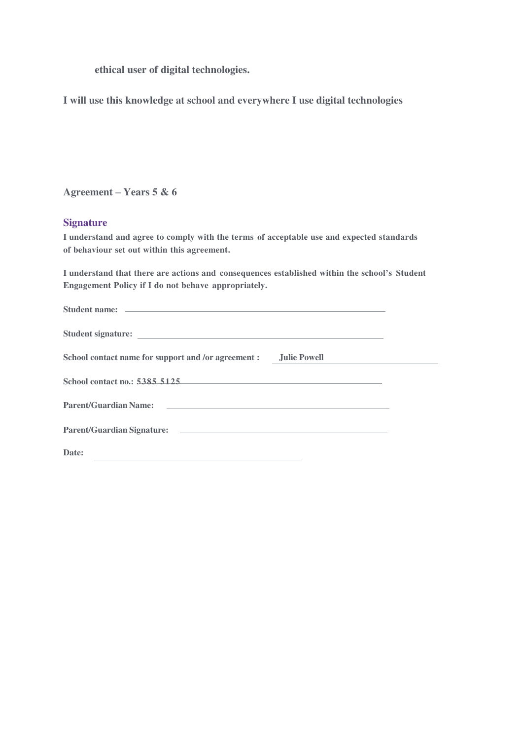**ethical user of digital technologies.** 

**I will use this knowledge at school and everywhere I use digital technologies** 

**Agreement – Years 5 & 6** 

#### **Signature**

**I understand and agree to comply with the terms of acceptable use and expected standards of behaviour set out within this agreement.** 

**I understand that there are actions and consequences established within the school's Student Engagement Policy if I do not behave appropriately.**

| Student name: and the state of the state of the state of the state of the state of the state of the state of the state of the state of the state of the state of the state of the state of the state of the state of the state |  |
|--------------------------------------------------------------------------------------------------------------------------------------------------------------------------------------------------------------------------------|--|
|                                                                                                                                                                                                                                |  |
| School contact name for support and /or agreement : Julie Powell                                                                                                                                                               |  |
| School contact no.: 5385 5125                                                                                                                                                                                                  |  |
| Parent/Guardian Name: The Contract of the Contract of the Contract of the Contract of the Contract of the Contract of the Contract of the Contract of the Contract of the Contract of the Contract of the Contract of the Cont |  |
| Parent/Guardian Signature: the contract of the contract of the contract of the contract of the contract of the contract of the contract of the contract of the contract of the contract of the contract of the contract of the |  |
| Date:<br><u> Louis Communication (Communication Communication Communication Communication Communication Communication Com</u>                                                                                                  |  |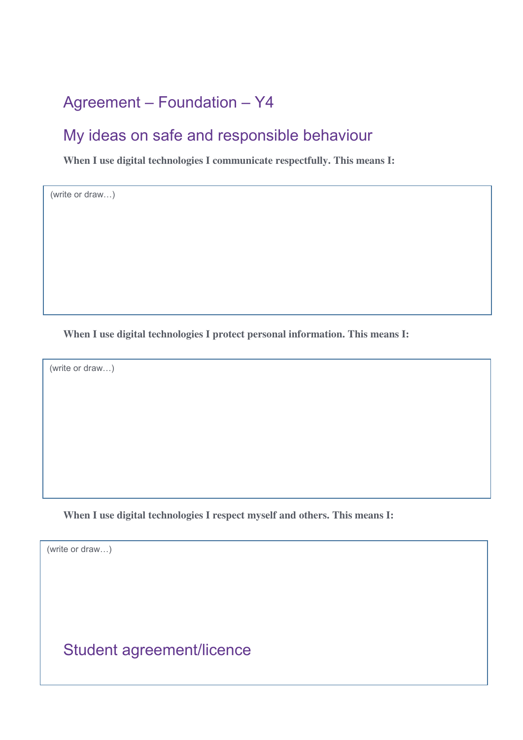# Agreement – Foundation – Y4

# My ideas on safe and responsible behaviour

**When I use digital technologies I communicate respectfully. This means I:** 

(write or draw…)

**When I use digital technologies I protect personal information. This means I:** 

(write or draw…)

**When I use digital technologies I respect myself and others. This means I:** 

(write or draw…)

Student agreement/licence